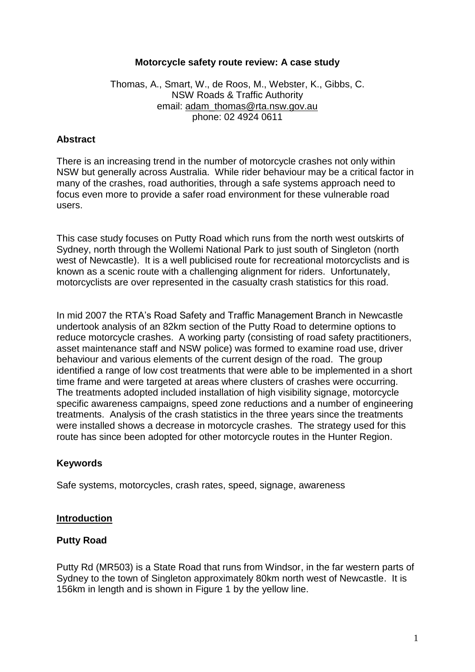#### **Motorcycle safety route review: A case study**

Thomas, A., Smart, W., de Roos, M., Webster, K., Gibbs, C. NSW Roads & Traffic Authority email: [adam\\_thomas@rta.nsw.gov.au](mailto:adam_thomas@rta.nsw.gov.au) phone: 02 4924 0611

#### **Abstract**

There is an increasing trend in the number of motorcycle crashes not only within NSW but generally across Australia. While rider behaviour may be a critical factor in many of the crashes, road authorities, through a safe systems approach need to focus even more to provide a safer road environment for these vulnerable road users.

This case study focuses on Putty Road which runs from the north west outskirts of Sydney, north through the Wollemi National Park to just south of Singleton (north west of Newcastle). It is a well publicised route for recreational motorcyclists and is known as a scenic route with a challenging alignment for riders. Unfortunately, motorcyclists are over represented in the casualty crash statistics for this road.

In mid 2007 the RTA"s Road Safety and Traffic Management Branch in Newcastle undertook analysis of an 82km section of the Putty Road to determine options to reduce motorcycle crashes. A working party (consisting of road safety practitioners, asset maintenance staff and NSW police) was formed to examine road use, driver behaviour and various elements of the current design of the road. The group identified a range of low cost treatments that were able to be implemented in a short time frame and were targeted at areas where clusters of crashes were occurring. The treatments adopted included installation of high visibility signage, motorcycle specific awareness campaigns, speed zone reductions and a number of engineering treatments. Analysis of the crash statistics in the three years since the treatments were installed shows a decrease in motorcycle crashes. The strategy used for this route has since been adopted for other motorcycle routes in the Hunter Region.

#### **Keywords**

Safe systems, motorcycles, crash rates, speed, signage, awareness

#### **Introduction**

#### **Putty Road**

Putty Rd (MR503) is a State Road that runs from Windsor, in the far western parts of Sydney to the town of Singleton approximately 80km north west of Newcastle. It is 156km in length and is shown in Figure 1 by the yellow line.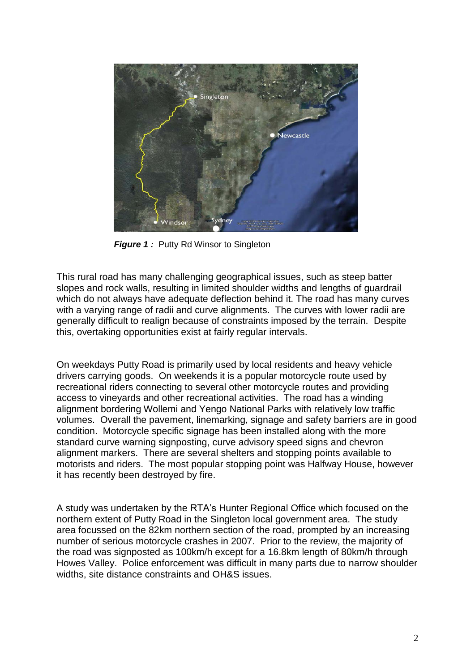

*Figure 1:* Putty Rd Winsor to Singleton

This rural road has many challenging geographical issues, such as steep batter slopes and rock walls, resulting in limited shoulder widths and lengths of guardrail which do not always have adequate deflection behind it. The road has many curves with a varying range of radii and curve alignments. The curves with lower radii are generally difficult to realign because of constraints imposed by the terrain. Despite this, overtaking opportunities exist at fairly regular intervals.

On weekdays Putty Road is primarily used by local residents and heavy vehicle drivers carrying goods. On weekends it is a popular motorcycle route used by recreational riders connecting to several other motorcycle routes and providing access to vineyards and other recreational activities. The road has a winding alignment bordering Wollemi and Yengo National Parks with relatively low traffic volumes. Overall the pavement, linemarking, signage and safety barriers are in good condition. Motorcycle specific signage has been installed along with the more standard curve warning signposting, curve advisory speed signs and chevron alignment markers. There are several shelters and stopping points available to motorists and riders. The most popular stopping point was Halfway House, however it has recently been destroyed by fire.

A study was undertaken by the RTA"s Hunter Regional Office which focused on the northern extent of Putty Road in the Singleton local government area. The study area focussed on the 82km northern section of the road, prompted by an increasing number of serious motorcycle crashes in 2007. Prior to the review, the majority of the road was signposted as 100km/h except for a 16.8km length of 80km/h through Howes Valley. Police enforcement was difficult in many parts due to narrow shoulder widths, site distance constraints and OH&S issues.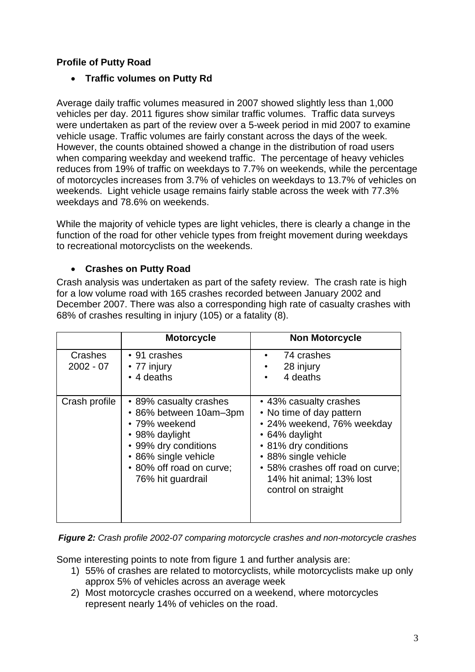# **Profile of Putty Road**

## **Traffic volumes on Putty Rd**

Average daily traffic volumes measured in 2007 showed slightly less than 1,000 vehicles per day. 2011 figures show similar traffic volumes. Traffic data surveys were undertaken as part of the review over a 5-week period in mid 2007 to examine vehicle usage. Traffic volumes are fairly constant across the days of the week. However, the counts obtained showed a change in the distribution of road users when comparing weekday and weekend traffic. The percentage of heavy vehicles reduces from 19% of traffic on weekdays to 7.7% on weekends, while the percentage of motorcycles increases from 3.7% of vehicles on weekdays to 13.7% of vehicles on weekends. Light vehicle usage remains fairly stable across the week with 77.3% weekdays and 78.6% on weekends.

While the majority of vehicle types are light vehicles, there is clearly a change in the function of the road for other vehicle types from freight movement during weekdays to recreational motorcyclists on the weekends.

## **Crashes on Putty Road**

Crash analysis was undertaken as part of the safety review. The crash rate is high for a low volume road with 165 crashes recorded between January 2002 and December 2007. There was also a corresponding high rate of casualty crashes with 68% of crashes resulting in injury (105) or a fatality (8).

|                        | <b>Motorcycle</b>                                                                                                                                                                    | <b>Non Motorcycle</b>                                                                                                                                                                                                                     |
|------------------------|--------------------------------------------------------------------------------------------------------------------------------------------------------------------------------------|-------------------------------------------------------------------------------------------------------------------------------------------------------------------------------------------------------------------------------------------|
| Crashes<br>$2002 - 07$ | • 91 crashes<br>• 77 injury<br>• 4 deaths                                                                                                                                            | 74 crashes<br>28 injury<br>4 deaths                                                                                                                                                                                                       |
| Crash profile          | • 89% casualty crashes<br>• 86% between 10am-3pm<br>• 79% weekend<br>• 98% daylight<br>• 99% dry conditions<br>• 86% single vehicle<br>• 80% off road on curve;<br>76% hit guardrail | • 43% casualty crashes<br>• No time of day pattern<br>• 24% weekend, 76% weekday<br>• 64% daylight<br>• 81% dry conditions<br>• 88% single vehicle<br>• 58% crashes off road on curve;<br>14% hit animal; 13% lost<br>control on straight |

*Figure 2: Crash profile 2002-07 comparing motorcycle crashes and non-motorcycle crashes*

Some interesting points to note from figure 1 and further analysis are:

- 1) 55% of crashes are related to motorcyclists, while motorcyclists make up only approx 5% of vehicles across an average week
- 2) Most motorcycle crashes occurred on a weekend, where motorcycles represent nearly 14% of vehicles on the road.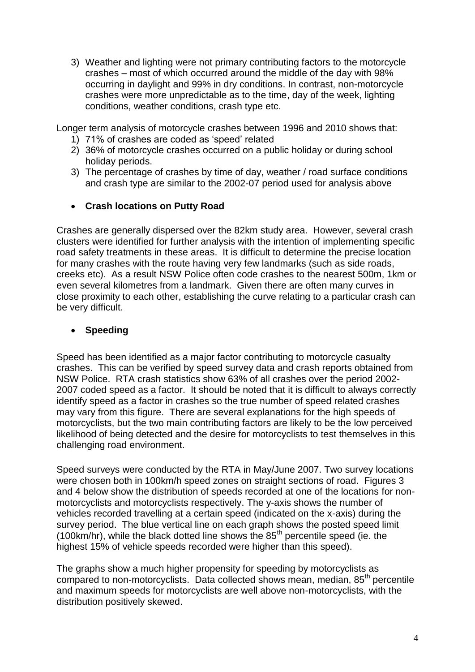3) Weather and lighting were not primary contributing factors to the motorcycle crashes – most of which occurred around the middle of the day with 98% occurring in daylight and 99% in dry conditions. In contrast, non-motorcycle crashes were more unpredictable as to the time, day of the week, lighting conditions, weather conditions, crash type etc.

Longer term analysis of motorcycle crashes between 1996 and 2010 shows that:

- 1) 71% of crashes are coded as "speed" related
- 2) 36% of motorcycle crashes occurred on a public holiday or during school holiday periods.
- 3) The percentage of crashes by time of day, weather / road surface conditions and crash type are similar to the 2002-07 period used for analysis above

## **Crash locations on Putty Road**

Crashes are generally dispersed over the 82km study area. However, several crash clusters were identified for further analysis with the intention of implementing specific road safety treatments in these areas. It is difficult to determine the precise location for many crashes with the route having very few landmarks (such as side roads, creeks etc). As a result NSW Police often code crashes to the nearest 500m, 1km or even several kilometres from a landmark. Given there are often many curves in close proximity to each other, establishing the curve relating to a particular crash can be very difficult.

## **Speeding**

Speed has been identified as a major factor contributing to motorcycle casualty crashes. This can be verified by speed survey data and crash reports obtained from NSW Police. RTA crash statistics show 63% of all crashes over the period 2002- 2007 coded speed as a factor. It should be noted that it is difficult to always correctly identify speed as a factor in crashes so the true number of speed related crashes may vary from this figure. There are several explanations for the high speeds of motorcyclists, but the two main contributing factors are likely to be the low perceived likelihood of being detected and the desire for motorcyclists to test themselves in this challenging road environment.

Speed surveys were conducted by the RTA in May/June 2007. Two survey locations were chosen both in 100km/h speed zones on straight sections of road. Figures 3 and 4 below show the distribution of speeds recorded at one of the locations for nonmotorcyclists and motorcyclists respectively. The y-axis shows the number of vehicles recorded travelling at a certain speed (indicated on the x-axis) during the survey period. The blue vertical line on each graph shows the posted speed limit (100km/hr), while the black dotted line shows the  $85<sup>th</sup>$  percentile speed (ie. the highest 15% of vehicle speeds recorded were higher than this speed).

The graphs show a much higher propensity for speeding by motorcyclists as compared to non-motorcyclists. Data collected shows mean, median, 85<sup>th</sup> percentile and maximum speeds for motorcyclists are well above non-motorcyclists, with the distribution positively skewed.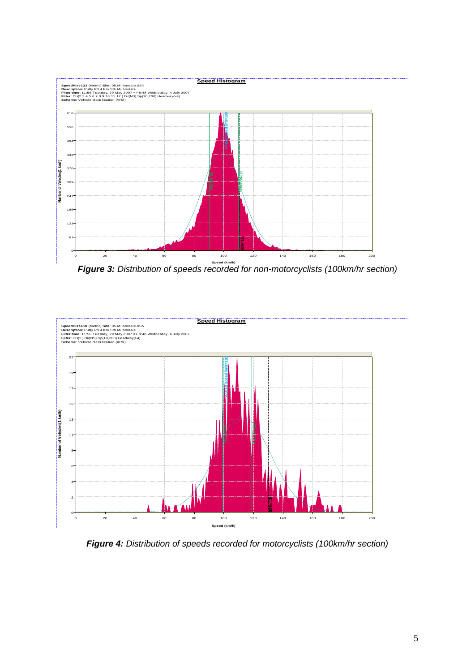

**Figure 3:** Distribution of speeds recorded for non-motorcyclists (100km/hr section)



*Figure 4: Distribution of speeds recorded for motorcyclists (100km/hr section)*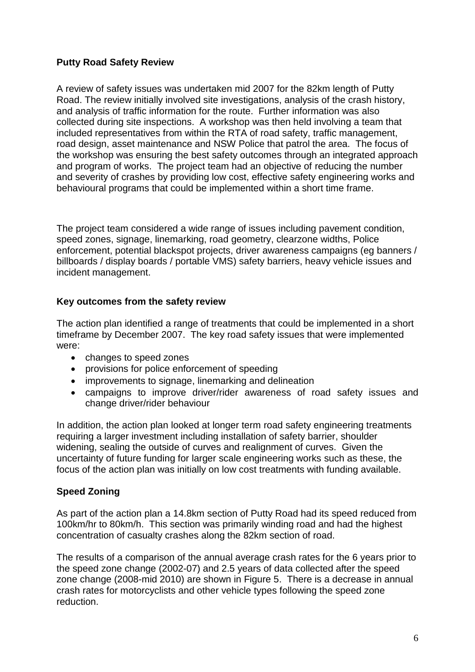## **Putty Road Safety Review**

A review of safety issues was undertaken mid 2007 for the 82km length of Putty Road. The review initially involved site investigations, analysis of the crash history, and analysis of traffic information for the route. Further information was also collected during site inspections. A workshop was then held involving a team that included representatives from within the RTA of road safety, traffic management, road design, asset maintenance and NSW Police that patrol the area. The focus of the workshop was ensuring the best safety outcomes through an integrated approach and program of works. The project team had an objective of reducing the number and severity of crashes by providing low cost, effective safety engineering works and behavioural programs that could be implemented within a short time frame.

The project team considered a wide range of issues including pavement condition, speed zones, signage, linemarking, road geometry, clearzone widths, Police enforcement, potential blackspot projects, driver awareness campaigns (eg banners / billboards / display boards / portable VMS) safety barriers, heavy vehicle issues and incident management.

## **Key outcomes from the safety review**

The action plan identified a range of treatments that could be implemented in a short timeframe by December 2007. The key road safety issues that were implemented were:

- changes to speed zones
- provisions for police enforcement of speeding
- improvements to signage, linemarking and delineation
- campaigns to improve driver/rider awareness of road safety issues and change driver/rider behaviour

In addition, the action plan looked at longer term road safety engineering treatments requiring a larger investment including installation of safety barrier, shoulder widening, sealing the outside of curves and realignment of curves. Given the uncertainty of future funding for larger scale engineering works such as these, the focus of the action plan was initially on low cost treatments with funding available.

## **Speed Zoning**

As part of the action plan a 14.8km section of Putty Road had its speed reduced from 100km/hr to 80km/h. This section was primarily winding road and had the highest concentration of casualty crashes along the 82km section of road.

The results of a comparison of the annual average crash rates for the 6 years prior to the speed zone change (2002-07) and 2.5 years of data collected after the speed zone change (2008-mid 2010) are shown in Figure 5. There is a decrease in annual crash rates for motorcyclists and other vehicle types following the speed zone reduction.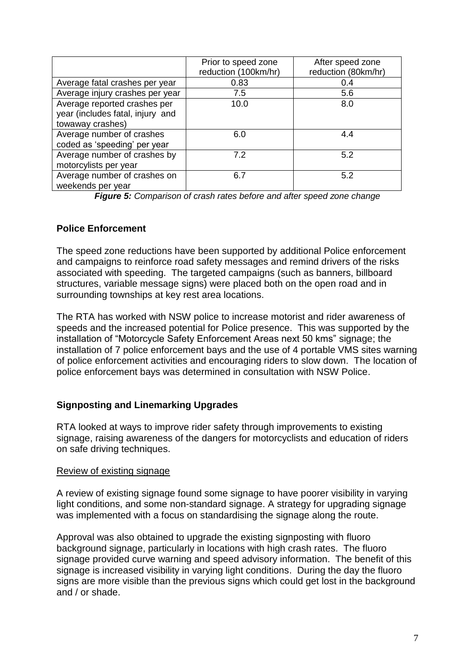|                                                                                      | Prior to speed zone<br>reduction (100km/hr) | After speed zone<br>reduction (80km/hr) |
|--------------------------------------------------------------------------------------|---------------------------------------------|-----------------------------------------|
| Average fatal crashes per year                                                       | 0.83                                        | 0.4                                     |
| Average injury crashes per year                                                      | 7.5                                         | 5.6                                     |
| Average reported crashes per<br>year (includes fatal, injury and<br>towaway crashes) | 10.0                                        | 8.0                                     |
| Average number of crashes<br>coded as 'speeding' per year                            | 6.0                                         | 4.4                                     |
| Average number of crashes by<br>motorcylists per year                                | 7.2                                         | 5.2                                     |
| Average number of crashes on<br>weekends per year                                    | 6.7                                         | 5.2                                     |

*Figure 5: Comparison of crash rates before and after speed zone change*

#### **Police Enforcement**

The speed zone reductions have been supported by additional Police enforcement and campaigns to reinforce road safety messages and remind drivers of the risks associated with speeding. The targeted campaigns (such as banners, billboard structures, variable message signs) were placed both on the open road and in surrounding townships at key rest area locations.

The RTA has worked with NSW police to increase motorist and rider awareness of speeds and the increased potential for Police presence. This was supported by the installation of "Motorcycle Safety Enforcement Areas next 50 kms" signage; the installation of 7 police enforcement bays and the use of 4 portable VMS sites warning of police enforcement activities and encouraging riders to slow down. The location of police enforcement bays was determined in consultation with NSW Police.

## **Signposting and Linemarking Upgrades**

RTA looked at ways to improve rider safety through improvements to existing signage, raising awareness of the dangers for motorcyclists and education of riders on safe driving techniques.

#### Review of existing signage

A review of existing signage found some signage to have poorer visibility in varying light conditions, and some non-standard signage. A strategy for upgrading signage was implemented with a focus on standardising the signage along the route.

Approval was also obtained to upgrade the existing signposting with fluoro background signage, particularly in locations with high crash rates. The fluoro signage provided curve warning and speed advisory information. The benefit of this signage is increased visibility in varying light conditions. During the day the fluoro signs are more visible than the previous signs which could get lost in the background and / or shade.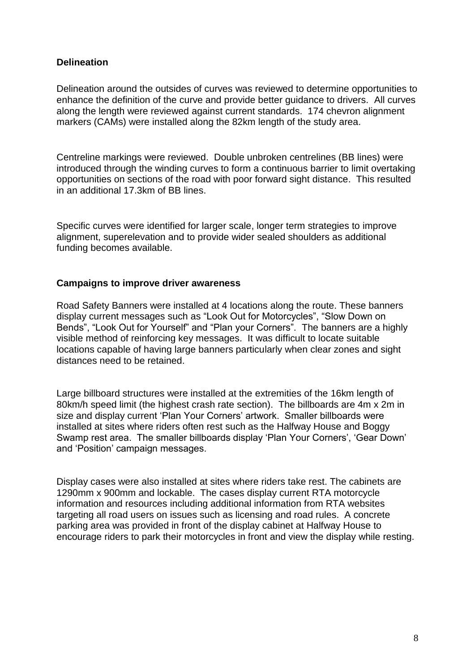#### **Delineation**

Delineation around the outsides of curves was reviewed to determine opportunities to enhance the definition of the curve and provide better guidance to drivers. All curves along the length were reviewed against current standards. 174 chevron alignment markers (CAMs) were installed along the 82km length of the study area.

Centreline markings were reviewed. Double unbroken centrelines (BB lines) were introduced through the winding curves to form a continuous barrier to limit overtaking opportunities on sections of the road with poor forward sight distance. This resulted in an additional 17.3km of BB lines.

Specific curves were identified for larger scale, longer term strategies to improve alignment, superelevation and to provide wider sealed shoulders as additional funding becomes available.

#### **Campaigns to improve driver awareness**

Road Safety Banners were installed at 4 locations along the route. These banners display current messages such as "Look Out for Motorcycles", "Slow Down on Bends", "Look Out for Yourself" and "Plan your Corners". The banners are a highly visible method of reinforcing key messages. It was difficult to locate suitable locations capable of having large banners particularly when clear zones and sight distances need to be retained.

Large billboard structures were installed at the extremities of the 16km length of 80km/h speed limit (the highest crash rate section). The billboards are 4m x 2m in size and display current 'Plan Your Corners' artwork. Smaller billboards were installed at sites where riders often rest such as the Halfway House and Boggy Swamp rest area. The smaller billboards display 'Plan Your Corners', 'Gear Down' and "Position" campaign messages.

Display cases were also installed at sites where riders take rest. The cabinets are 1290mm x 900mm and lockable. The cases display current RTA motorcycle information and resources including additional information from RTA websites targeting all road users on issues such as licensing and road rules. A concrete parking area was provided in front of the display cabinet at Halfway House to encourage riders to park their motorcycles in front and view the display while resting.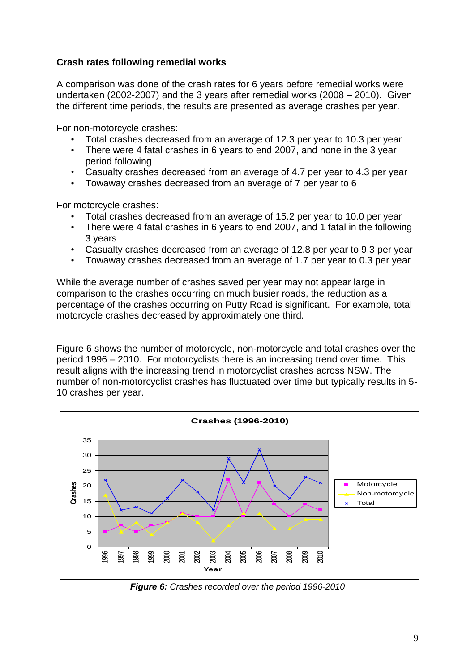## **Crash rates following remedial works**

A comparison was done of the crash rates for 6 years before remedial works were undertaken (2002-2007) and the 3 years after remedial works (2008 – 2010). Given the different time periods, the results are presented as average crashes per year.

For non-motorcycle crashes:

- Total crashes decreased from an average of 12.3 per year to 10.3 per year
- There were 4 fatal crashes in 6 years to end 2007, and none in the 3 year period following
- Casualty crashes decreased from an average of 4.7 per year to 4.3 per year
- Towaway crashes decreased from an average of 7 per year to 6

For motorcycle crashes:

- Total crashes decreased from an average of 15.2 per year to 10.0 per year
- There were 4 fatal crashes in 6 years to end 2007, and 1 fatal in the following 3 years
- Casualty crashes decreased from an average of 12.8 per year to 9.3 per year
- Towaway crashes decreased from an average of 1.7 per year to 0.3 per year

While the average number of crashes saved per year may not appear large in comparison to the crashes occurring on much busier roads, the reduction as a percentage of the crashes occurring on Putty Road is significant. For example, total motorcycle crashes decreased by approximately one third.

Figure 6 shows the number of motorcycle, non-motorcycle and total crashes over the period 1996 – 2010. For motorcyclists there is an increasing trend over time. This result aligns with the increasing trend in motorcyclist crashes across NSW. The number of non-motorcyclist crashes has fluctuated over time but typically results in 5- 10 crashes per year.



*Figure 6: Crashes recorded over the period 1996-2010*